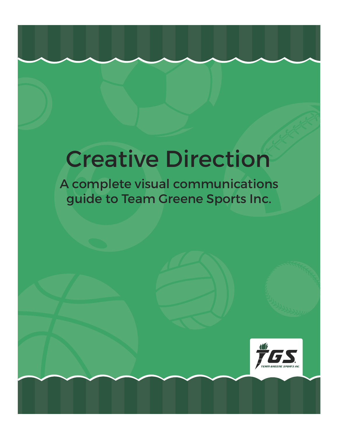# Creative Direction

A complete visual communications guide to Team Greene Sports Inc.

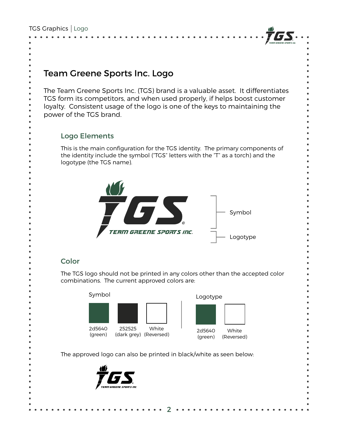

## Team Greene Sports Inc. Logo

The Team Greene Sports Inc. (TGS) brand is a valuable asset. It differentiates TGS form its competitors, and when used properly, if helps boost customer loyalty. Consistent usage of the logo is one of the keys to maintaining the power of the TGS brand.

#### Logo Elements

This is the main configuration for the TGS identity. The primary components of the identity include the symbol ("TGS" letters with the "T" as a torch) and the logotype (the TGS name).



#### **Color**

The TGS logo should not be printed in any colors other than the accepted color combinations. The current approved colors are:





The approved logo can also be printed in black/white as seen below:

2

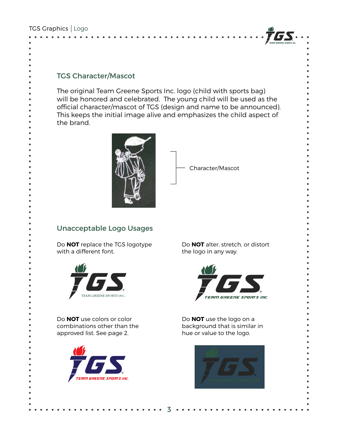

#### TGS Character/Mascot

The original Team Greene Sports Inc. logo (child with sports bag) will be honored and celebrated. The young child will be used as the official character/mascot of TGS (design and name to be announced). This keeps the initial image alive and emphasizes the child aspect of the brand.

3



Character/Mascot

#### Unacceptable Logo Usages

Do **NOT** replace the TGS logotype with a different font.



Do **NOT** use colors or color combinations other than the approved list. See page 2.



Do **NOT** alter, stretch, or distort the logo in any way.



Do **NOT** use the logo on a background that is similar in hue or value to the logo.

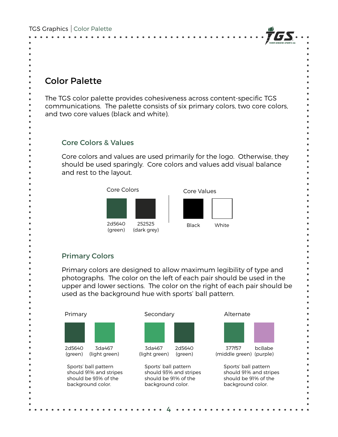

## Color Palette

The TGS color palette provides cohesiveness across content-specific TGS communications. The palette consists of six primary colors, two core colors, and two core values (black and white).

#### Core Colors & Values

Core colors and values are used primarily for the logo. Otherwise, they should be used sparingly. Core colors and values add visual balance and rest to the layout.



#### Primary Colors

Primary colors are designed to allow maximum legibility of type and photographs. The color on the left of each pair should be used in the upper and lower sections. The color on the right of each pair should be used as the background hue with sports' ball pattern.

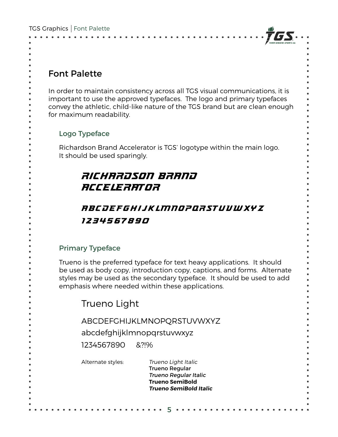

## Font Palette

In order to maintain consistency across all TGS visual communications, it is important to use the approved typefaces. The logo and primary typefaces convey the athletic, child-like nature of the TGS brand but are clean enough for maximum readability.

#### Logo Typeface

Richardson Brand Accelerator is TGS' logotype within the main logo. It should be used sparingly.

## Richardson Brand Accelerator

## abcdefghijklmnopqrstuvwxyz 1234567890

#### Primary Typeface

Trueno is the preferred typeface for text heavy applications. It should be used as body copy, introduction copy, captions, and forms. Alternate styles may be used as the secondary typeface. It should be used to add emphasis where needed within these applications.

Trueno Light

ABCDEFGHIJKLMNOPQRSTUVWXYZ

abcdefghijklmnopqrstuvwxyz

1234567890 &?!%

Alternate styles: Trueno Light Italic Trueno Regular Trueno Regular Italic Trueno SemiBold Trueno SemiBold Italic

5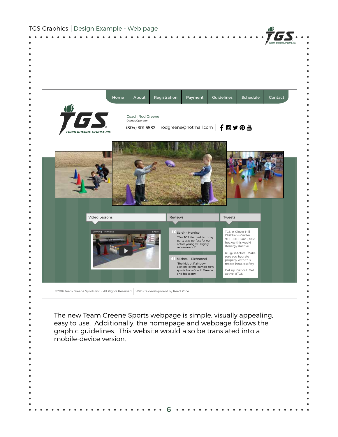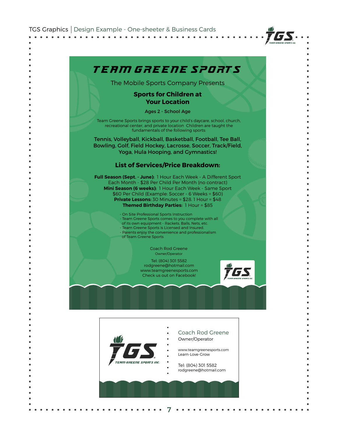

## Team Greene Sports

The Mobile Sports Company Presents

#### Sports for Children at Your Location

Ages 2 - School Age

Team Greene Sports brings sports to your child's daycare, school, church, recreational center, and private location Children are taught the fundamentals of the following sports:

Tennis, Volleyball, Kickball, Basketball, Football, Tee Ball, Bowling, Golf, Field Hockey, Lacrosse, Soccer, Track/Field, Yoga, Hula Hooping, and Gymnastics!

#### List of Services/Price Breakdown:

Full Season (Sept. - June): 1 Hour Each Week - A Different Sport Each Month - \$28 Per Child Per Month (no contract) Mini Season (6 weeks): 1 Hour Each Week - Same Sport \$60 Per Child (Example: Soccer - 6 Weeks = \$60) Private Lessons: 30 Minutes = \$28. 1 Hour = \$48 Themed Birthday Parties: 1 Hour = \$85

> - On Site Professional Sports Instruction - Team Greene Sports comes to you complete with all of its own equipment - Rackets, Balls, Nets, etc. - Team Greene Sports is Licensed and Insured. - Parents enjoy the convenience and professionalism of Team Greene Sports

> > Coach Rod Greene Owner/Operator

Tel: (804) 301 5582 rodgreene@hotmail.com www.teamgreenesports.com Check us out on Facebook!





7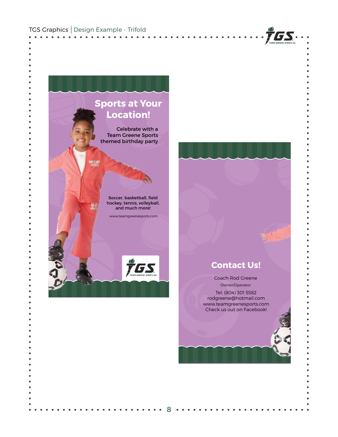

Celebrate with a Team Greene Sports themed birthday party

> Soccer, basketball, field hockey, tennis, volleyball, and much more!

動

www.teamgreenesports.com

 $\overline{r}_{\overline{\mu}}$ GS

8

#### Contact Us!

TGS.

Coach Rod Greene Owner/Operator Tel: (804) 301 5582 rodgreene@hotmail.com www.teamgreenesports.com Check us out on Facebook!